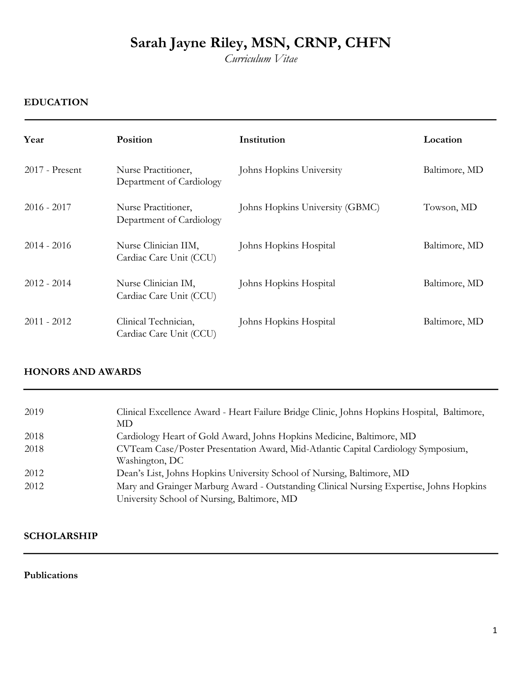*Curriculum Vitae* 

## **EDUCATION**

| Year             | <b>Position</b>                                 | Institution                     | Location      |
|------------------|-------------------------------------------------|---------------------------------|---------------|
| $2017$ - Present | Nurse Practitioner,<br>Department of Cardiology | Johns Hopkins University        | Baltimore, MD |
| $2016 - 2017$    | Nurse Practitioner,<br>Department of Cardiology | Johns Hopkins University (GBMC) | Towson, MD    |
| $2014 - 2016$    | Nurse Clinician IIM,<br>Cardiac Care Unit (CCU) | Johns Hopkins Hospital          | Baltimore, MD |
| $2012 - 2014$    | Nurse Clinician IM,<br>Cardiac Care Unit (CCU)  | Johns Hopkins Hospital          | Baltimore, MD |
| $2011 - 2012$    | Clinical Technician,<br>Cardiac Care Unit (CCU) | Johns Hopkins Hospital          | Baltimore, MD |

## **HONORS AND AWARDS**

| 2019 | Clinical Excellence Award - Heart Failure Bridge Clinic, Johns Hopkins Hospital, Baltimore,<br>MD   |
|------|-----------------------------------------------------------------------------------------------------|
| 2018 |                                                                                                     |
|      | Cardiology Heart of Gold Award, Johns Hopkins Medicine, Baltimore, MD                               |
| 2018 | CVTeam Case/Poster Presentation Award, Mid-Atlantic Capital Cardiology Symposium,<br>Washington, DC |
| 2012 | Dean's List, Johns Hopkins University School of Nursing, Baltimore, MD                              |
| 2012 | Mary and Grainger Marburg Award - Outstanding Clinical Nursing Expertise, Johns Hopkins             |
|      | University School of Nursing, Baltimore, MD                                                         |

## **SCHOLARSHIP**

### **Publications**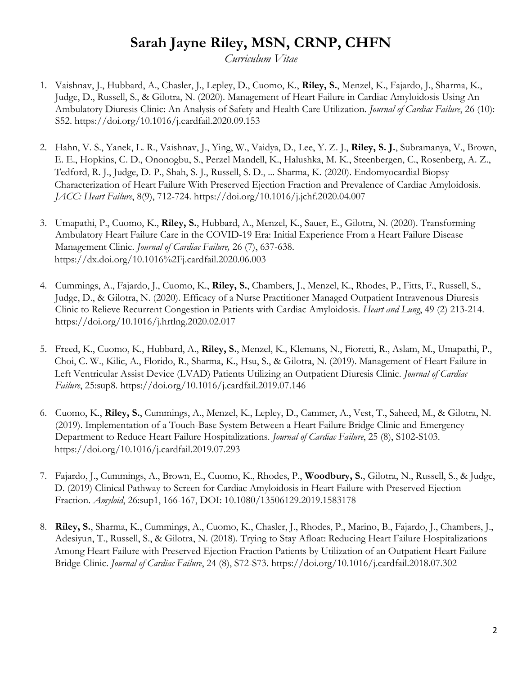*Curriculum Vitae* 

- 1. Vaishnav, J., Hubbard, A., Chasler, J., Lepley, D., Cuomo, K., **Riley, S.**, Menzel, K., Fajardo, J., Sharma, K., Judge, D., Russell, S., & Gilotra, N. (2020). Management of Heart Failure in Cardiac Amyloidosis Using An Ambulatory Diuresis Clinic: An Analysis of Safety and Health Care Utilization*. Journal of Cardiac Failure*, 26 (10): S52.<https://doi.org/10.1016/j.cardfail.2020.09.153>
- 2. Hahn, V. S., Yanek, L. R., Vaishnav, J., Ying, W., Vaidya, D., Lee, Y. Z. J., **Riley, S. J.**, Subramanya, V., Brown, E. E., Hopkins, C. D., Ononogbu, S., Perzel Mandell, K., Halushka, M. K., Steenbergen, C., Rosenberg, A. Z., Tedford, R. J., Judge, D. P., Shah, S. J., Russell, S. D., ... Sharma, K. (2020). Endomyocardial Biopsy Characterization of Heart Failure With Preserved Ejection Fraction and Prevalence of Cardiac Amyloidosis. *JACC: Heart Failure*, 8(9), 712-724. https://doi.org/10.1016/j.jchf.2020.04.007
- 3. Umapathi, P., Cuomo, K., **Riley, S.**, Hubbard, A., Menzel, K., Sauer, E., Gilotra, N. (2020). Transforming Ambulatory Heart Failure Care in the COVID-19 Era: Initial Experience From a Heart Failure Disease Management Clinic. *Journal of Cardiac Failure,* 26 (7), 637-638. <https://dx.doi.org/10.1016%2Fj.cardfail.2020.06.003>
- 4. Cummings, A., Fajardo, J., Cuomo, K., **Riley, S.**, Chambers, J., Menzel, K., Rhodes, P., Fitts, F., Russell, S., Judge, D., & Gilotra, N. (2020). Efficacy of a Nurse Practitioner Managed Outpatient Intravenous Diuresis Clinic to Relieve Recurrent Congestion in Patients with Cardiac Amyloidosis. *Heart and Lung*, 49 (2) 213-214. <https://doi.org/10.1016/j.hrtlng.2020.02.017>
- 5. Freed, K., Cuomo, K., Hubbard, A., **Riley, S.**, Menzel, K., Klemans, N., Fioretti, R., Aslam, M., Umapathi, P., Choi, C. W., Kilic, A., Florido, R., Sharma, K., Hsu, S., & Gilotra, N. (2019). Management of Heart Failure in Left Ventricular Assist Device (LVAD) Patients Utilizing an Outpatient Diuresis Clinic. *Journal of Cardiac Failure*, 25:sup8[.](https://doi.org/10.1016/j.cardfail.2019.07.146) <https://doi.org/10.1016/j.cardfail.2019.07.146>
- 6. Cuomo, K., **Riley, S.**, Cummings, A., Menzel, K., Lepley, D., Cammer, A., Vest, T., Saheed, M., & Gilotra, N. (2019). Implementation of a Touch-Base System Between a Heart Failure Bridge Clinic and Emergency Department to Reduce Heart Failure Hospitalizations*. Journal of Cardiac Failure*, 25 (8), S102-S103. <https://doi.org/10.1016/j.cardfail.2019.07.293>
- 7. Fajardo, J., Cummings, A., Brown, E., Cuomo, K., Rhodes, P., **Woodbury, S.**, Gilotra, N., Russell, S., & Judge, D. (2019) Clinical Pathway to Screen for Cardiac Amyloidosis in Heart Failure with Preserved Ejection Fraction. *Amyloid*, 26:sup1, 166-167, DOI: 10.1080/13506129.2019.1583178
- 8. **Riley, S.**, Sharma, K., Cummings, A., Cuomo, K., Chasler, J., Rhodes, P., Marino, B., Fajardo, J., Chambers, J., Adesiyun, T., Russell, S., & Gilotra, N. (2018). Trying to Stay Afloat: Reducing Heart Failure Hospitalizations Among Heart Failure with Preserved Ejection Fraction Patients by Utilization of an Outpatient Heart Failure Bridge Clinic. *Journal of Cardiac Failure*, 24 (8), S72-S73[.](https://doi.org/10.1016/j.cardfail.2018.07.302) <https://doi.org/10.1016/j.cardfail.2018.07.302>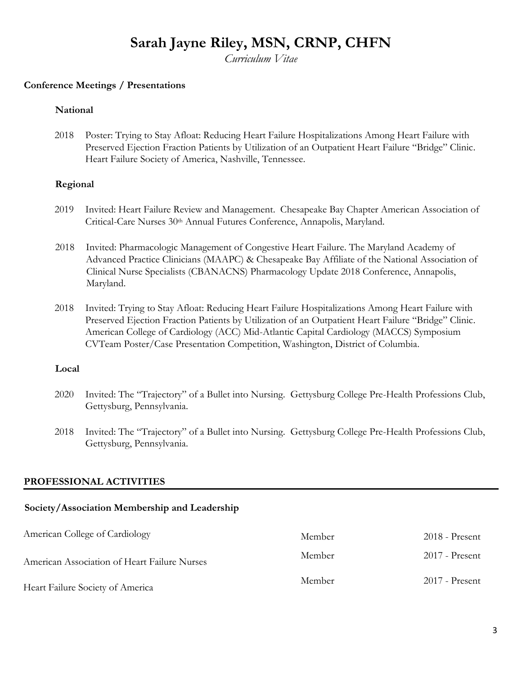*Curriculum Vitae* 

#### **Conference Meetings / Presentations**

#### **National**

2018 Poster: Trying to Stay Afloat: Reducing Heart Failure Hospitalizations Among Heart Failure with Preserved Ejection Fraction Patients by Utilization of an Outpatient Heart Failure "Bridge" Clinic. Heart Failure Society of America, Nashville, Tennessee.

#### **Regional**

- 2019 Invited: Heart Failure Review and Management. Chesapeake Bay Chapter American Association of Critical-Care Nurses 30th Annual Futures Conference, Annapolis, Maryland.
- 2018 Invited: Pharmacologic Management of Congestive Heart Failure. The Maryland Academy of Advanced Practice Clinicians (MAAPC) & Chesapeake Bay Affiliate of the National Association of Clinical Nurse Specialists (CBANACNS) Pharmacology Update 2018 Conference, Annapolis, Maryland.
- 2018 Invited: Trying to Stay Afloat: Reducing Heart Failure Hospitalizations Among Heart Failure with Preserved Ejection Fraction Patients by Utilization of an Outpatient Heart Failure "Bridge" Clinic. American College of Cardiology (ACC) Mid-Atlantic Capital Cardiology (MACCS) Symposium CVTeam Poster/Case Presentation Competition, Washington, District of Columbia.

#### **Local**

- 2020 Invited: The "Trajectory" of a Bullet into Nursing. Gettysburg College Pre-Health Professions Club, Gettysburg, Pennsylvania.
- 2018 Invited: The "Trajectory" of a Bullet into Nursing. Gettysburg College Pre-Health Professions Club, Gettysburg, Pennsylvania.

### **PROFESSIONAL ACTIVITIES**

### **Society/Association Membership and Leadership**

| American College of Cardiology               | Member | 2018 - Present |
|----------------------------------------------|--------|----------------|
| American Association of Heart Failure Nurses | Member | 2017 - Present |
| Heart Failure Society of America             | Member | 2017 - Present |